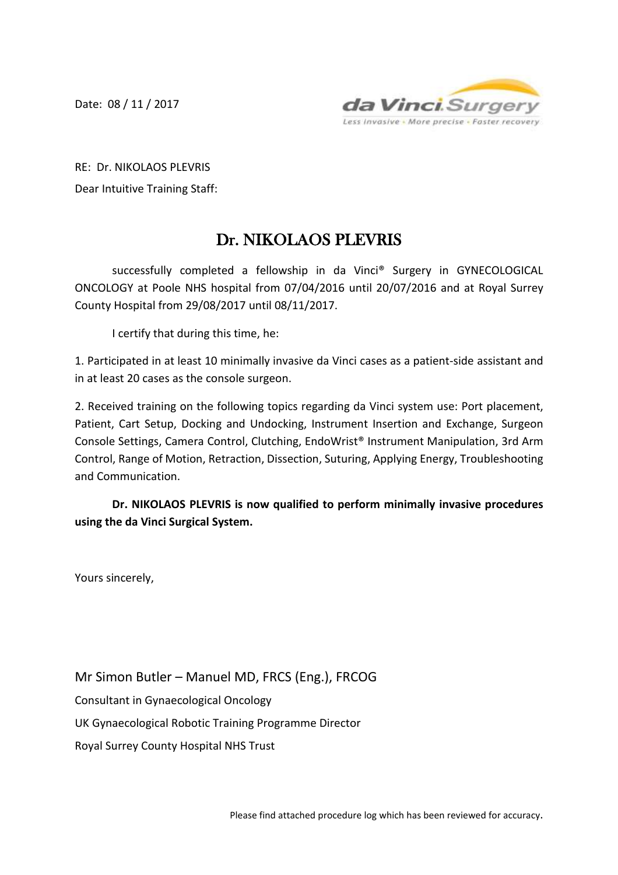Date: 08 / 11 / 2017



RE: Dr. NIKOLAOS PLEVRIS Dear Intuitive Training Staff:

## Dr. NIKOLAOS PLEVRIS

successfully completed a fellowship in da Vinci® Surgery in GYNECOLOGICAL ONCOLOGY at Poole NHS hospital from 07/04/2016 until 20/07/2016 and at Royal Surrey County Hospital from 29/08/2017 until 08/11/2017.

I certify that during this time, he:

1. Participated in at least 10 minimally invasive da Vinci cases as a patient-side assistant and in at least 20 cases as the console surgeon.

2. Received training on the following topics regarding da Vinci system use: Port placement, Patient, Cart Setup, Docking and Undocking, Instrument Insertion and Exchange, Surgeon Console Settings, Camera Control, Clutching, EndoWrist® Instrument Manipulation, 3rd Arm Control, Range of Motion, Retraction, Dissection, Suturing, Applying Energy, Troubleshooting and Communication.

**Dr. NIKOLAOS PLEVRIS is now qualified to perform minimally invasive procedures using the da Vinci Surgical System.**

Yours sincerely,

Mr Simon Butler – Manuel MD, FRCS (Eng.), FRCOG Consultant in Gynaecological Oncology UK Gynaecological Robotic Training Programme Director Royal Surrey County Hospital NHS Trust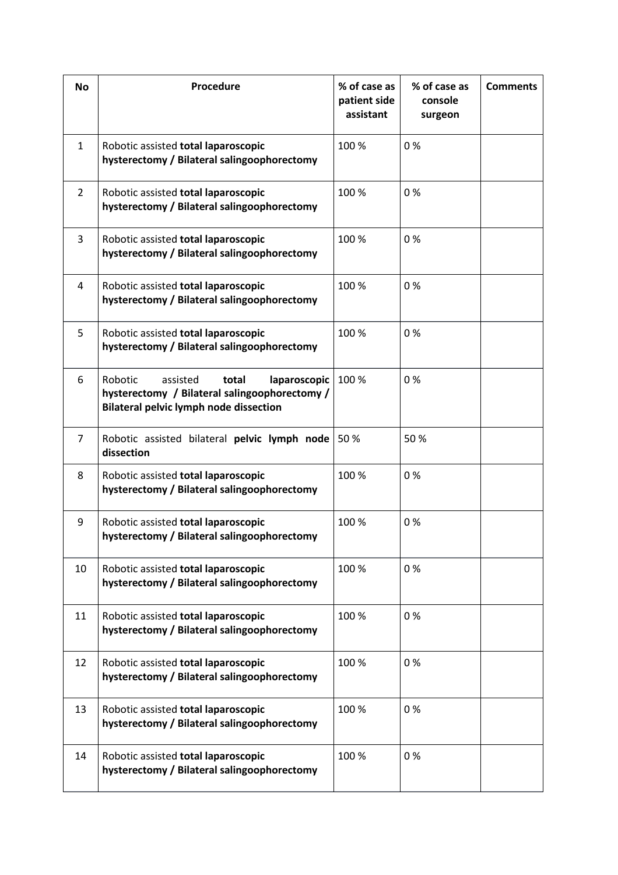| <b>No</b>      | Procedure                                                                                                                                      | % of case as<br>patient side<br>assistant | % of case as<br>console<br>surgeon | <b>Comments</b> |
|----------------|------------------------------------------------------------------------------------------------------------------------------------------------|-------------------------------------------|------------------------------------|-----------------|
| $\mathbf{1}$   | Robotic assisted total laparoscopic<br>hysterectomy / Bilateral salingoophorectomy                                                             | 100 %                                     | 0%                                 |                 |
| $\overline{2}$ | Robotic assisted total laparoscopic<br>hysterectomy / Bilateral salingoophorectomy                                                             | 100 %                                     | 0%                                 |                 |
| 3              | Robotic assisted total laparoscopic<br>hysterectomy / Bilateral salingoophorectomy                                                             | 100 %                                     | 0%                                 |                 |
| 4              | Robotic assisted total laparoscopic<br>hysterectomy / Bilateral salingoophorectomy                                                             | 100 %                                     | 0%                                 |                 |
| 5              | Robotic assisted total laparoscopic<br>hysterectomy / Bilateral salingoophorectomy                                                             | 100 %                                     | 0%                                 |                 |
| 6              | Robotic<br>laparoscopic<br>assisted<br>total<br>hysterectomy / Bilateral salingoophorectomy /<br><b>Bilateral pelvic lymph node dissection</b> | 100 %                                     | 0%                                 |                 |
| $\overline{7}$ | Robotic assisted bilateral pelvic lymph node<br>dissection                                                                                     | 50%                                       | 50%                                |                 |
| 8              | Robotic assisted total laparoscopic<br>hysterectomy / Bilateral salingoophorectomy                                                             | 100 %                                     | 0%                                 |                 |
| 9              | Robotic assisted total laparoscopic<br>hysterectomy / Bilateral salingoophorectomy                                                             | 100 %                                     | 0%                                 |                 |
| 10             | Robotic assisted total laparoscopic<br>hysterectomy / Bilateral salingoophorectomy                                                             | 100 %                                     | 0%                                 |                 |
| 11             | Robotic assisted total laparoscopic<br>hysterectomy / Bilateral salingoophorectomy                                                             | 100 %                                     | 0%                                 |                 |
| 12             | Robotic assisted total laparoscopic<br>hysterectomy / Bilateral salingoophorectomy                                                             | 100 %                                     | 0%                                 |                 |
| 13             | Robotic assisted total laparoscopic<br>hysterectomy / Bilateral salingoophorectomy                                                             | 100 %                                     | 0%                                 |                 |
| 14             | Robotic assisted total laparoscopic<br>hysterectomy / Bilateral salingoophorectomy                                                             | 100 %                                     | 0%                                 |                 |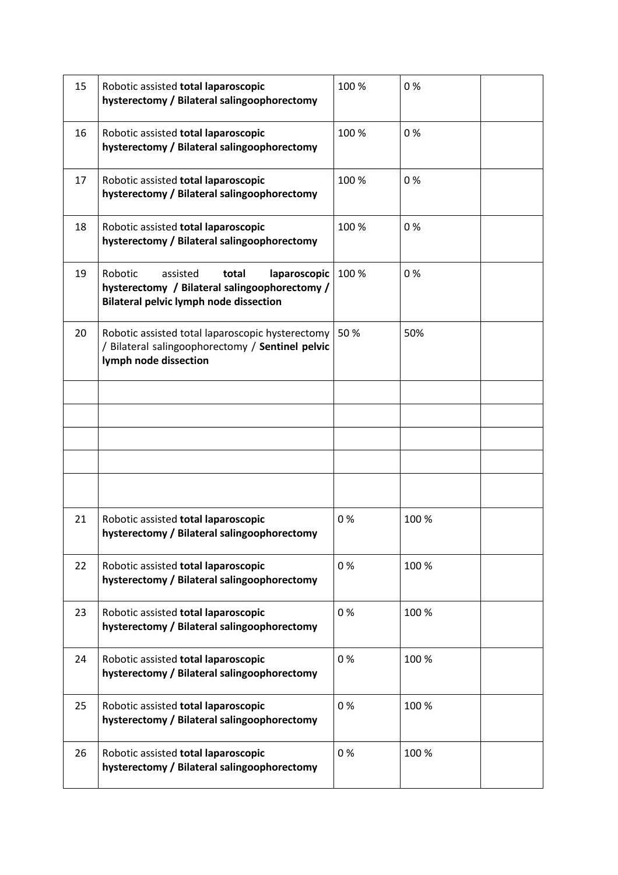| 15 | Robotic assisted total laparoscopic<br>hysterectomy / Bilateral salingoophorectomy                                                             | 100 % | 0%    |
|----|------------------------------------------------------------------------------------------------------------------------------------------------|-------|-------|
| 16 | Robotic assisted total laparoscopic<br>hysterectomy / Bilateral salingoophorectomy                                                             | 100 % | 0%    |
| 17 | Robotic assisted total laparoscopic<br>hysterectomy / Bilateral salingoophorectomy                                                             | 100 % | 0%    |
| 18 | Robotic assisted total laparoscopic<br>hysterectomy / Bilateral salingoophorectomy                                                             | 100 % | 0%    |
| 19 | Robotic<br>laparoscopic<br>assisted<br>total<br>hysterectomy / Bilateral salingoophorectomy /<br><b>Bilateral pelvic lymph node dissection</b> | 100 % | 0%    |
| 20 | Robotic assisted total laparoscopic hysterectomy<br>/ Bilateral salingoophorectomy / Sentinel pelvic<br>lymph node dissection                  | 50%   | 50%   |
|    |                                                                                                                                                |       |       |
|    |                                                                                                                                                |       |       |
|    |                                                                                                                                                |       |       |
|    |                                                                                                                                                |       |       |
|    |                                                                                                                                                |       |       |
| 21 | Robotic assisted total laparoscopic<br>hysterectomy / Bilateral salingoophorectomy                                                             | 0%    | 100 % |
| 22 | Robotic assisted total laparoscopic<br>hysterectomy / Bilateral salingoophorectomy                                                             | 0%    | 100 % |
| 23 | Robotic assisted total laparoscopic<br>hysterectomy / Bilateral salingoophorectomy                                                             | 0%    | 100 % |
| 24 | Robotic assisted total laparoscopic<br>hysterectomy / Bilateral salingoophorectomy                                                             | 0%    | 100 % |
| 25 | Robotic assisted total laparoscopic<br>hysterectomy / Bilateral salingoophorectomy                                                             | 0%    | 100 % |
| 26 | Robotic assisted total laparoscopic<br>hysterectomy / Bilateral salingoophorectomy                                                             | 0%    | 100 % |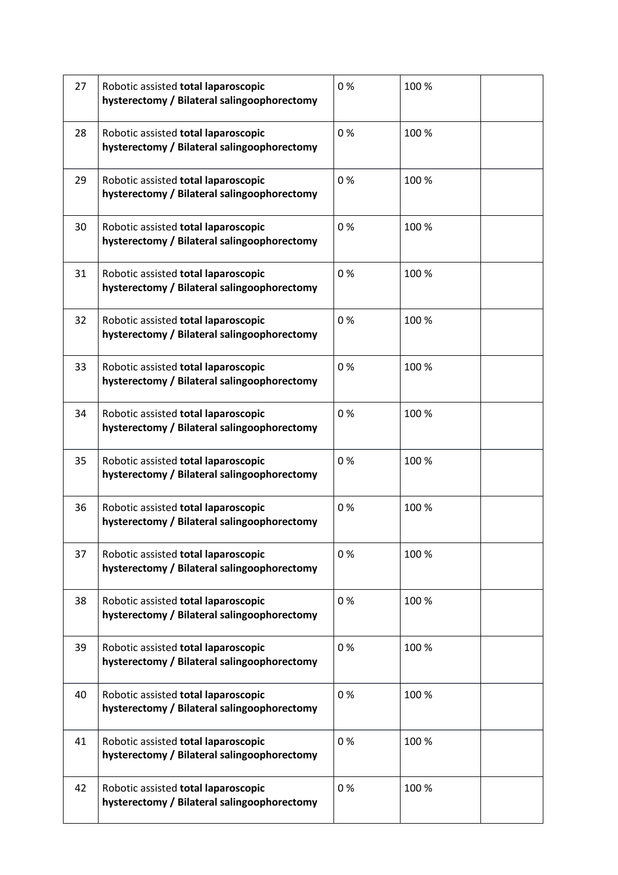| 27 | Robotic assisted total laparoscopic<br>hysterectomy / Bilateral salingoophorectomy | 0% | 100 % |  |
|----|------------------------------------------------------------------------------------|----|-------|--|
| 28 | Robotic assisted total laparoscopic<br>hysterectomy / Bilateral salingoophorectomy | 0% | 100 % |  |
| 29 | Robotic assisted total laparoscopic<br>hysterectomy / Bilateral salingoophorectomy | 0% | 100 % |  |
| 30 | Robotic assisted total laparoscopic<br>hysterectomy / Bilateral salingoophorectomy | 0% | 100 % |  |
| 31 | Robotic assisted total laparoscopic<br>hysterectomy / Bilateral salingoophorectomy | 0% | 100 % |  |
| 32 | Robotic assisted total laparoscopic<br>hysterectomy / Bilateral salingoophorectomy | 0% | 100 % |  |
| 33 | Robotic assisted total laparoscopic<br>hysterectomy / Bilateral salingoophorectomy | 0% | 100 % |  |
| 34 | Robotic assisted total laparoscopic<br>hysterectomy / Bilateral salingoophorectomy | 0% | 100 % |  |
| 35 | Robotic assisted total laparoscopic<br>hysterectomy / Bilateral salingoophorectomy | 0% | 100 % |  |
| 36 | Robotic assisted total laparoscopic<br>hysterectomy / Bilateral salingoophorectomy | 0% | 100 % |  |
| 37 | Robotic assisted total laparoscopic<br>hysterectomy / Bilateral salingoophorectomy | 0% | 100 % |  |
| 38 | Robotic assisted total laparoscopic<br>hysterectomy / Bilateral salingoophorectomy | 0% | 100 % |  |
| 39 | Robotic assisted total laparoscopic<br>hysterectomy / Bilateral salingoophorectomy | 0% | 100 % |  |
| 40 | Robotic assisted total laparoscopic<br>hysterectomy / Bilateral salingoophorectomy | 0% | 100 % |  |
| 41 | Robotic assisted total laparoscopic<br>hysterectomy / Bilateral salingoophorectomy | 0% | 100 % |  |
| 42 | Robotic assisted total laparoscopic<br>hysterectomy / Bilateral salingoophorectomy | 0% | 100 % |  |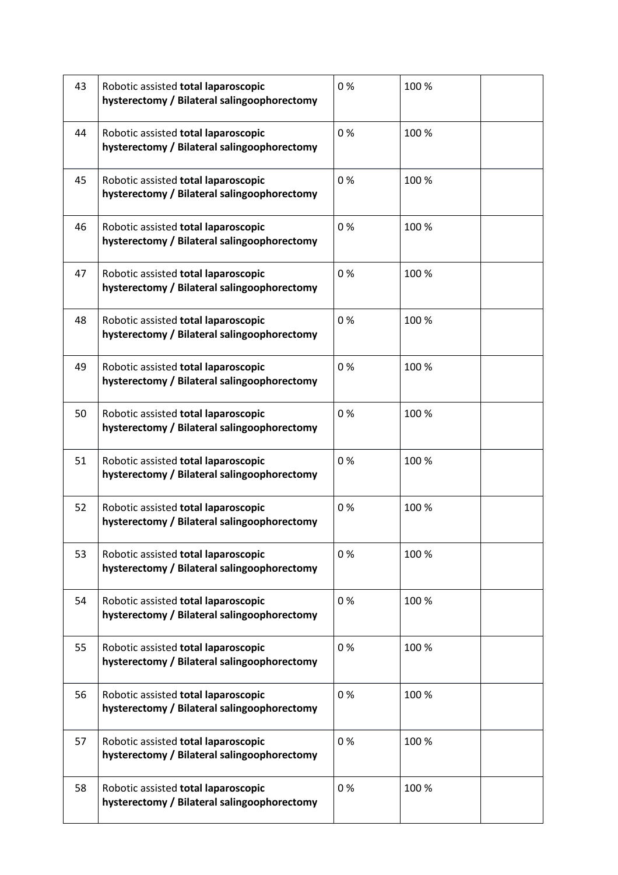| 43 | Robotic assisted total laparoscopic<br>hysterectomy / Bilateral salingoophorectomy | 0% | 100 % |  |
|----|------------------------------------------------------------------------------------|----|-------|--|
| 44 | Robotic assisted total laparoscopic<br>hysterectomy / Bilateral salingoophorectomy | 0% | 100 % |  |
| 45 | Robotic assisted total laparoscopic<br>hysterectomy / Bilateral salingoophorectomy | 0% | 100 % |  |
| 46 | Robotic assisted total laparoscopic<br>hysterectomy / Bilateral salingoophorectomy | 0% | 100 % |  |
| 47 | Robotic assisted total laparoscopic<br>hysterectomy / Bilateral salingoophorectomy | 0% | 100 % |  |
| 48 | Robotic assisted total laparoscopic<br>hysterectomy / Bilateral salingoophorectomy | 0% | 100 % |  |
| 49 | Robotic assisted total laparoscopic<br>hysterectomy / Bilateral salingoophorectomy | 0% | 100 % |  |
| 50 | Robotic assisted total laparoscopic<br>hysterectomy / Bilateral salingoophorectomy | 0% | 100 % |  |
| 51 | Robotic assisted total laparoscopic<br>hysterectomy / Bilateral salingoophorectomy | 0% | 100 % |  |
| 52 | Robotic assisted total laparoscopic<br>hysterectomy / Bilateral salingoophorectomy | 0% | 100 % |  |
| 53 | Robotic assisted total laparoscopic<br>hysterectomy / Bilateral salingoophorectomy | 0% | 100 % |  |
| 54 | Robotic assisted total laparoscopic<br>hysterectomy / Bilateral salingoophorectomy | 0% | 100 % |  |
| 55 | Robotic assisted total laparoscopic<br>hysterectomy / Bilateral salingoophorectomy | 0% | 100 % |  |
| 56 | Robotic assisted total laparoscopic<br>hysterectomy / Bilateral salingoophorectomy | 0% | 100 % |  |
| 57 | Robotic assisted total laparoscopic<br>hysterectomy / Bilateral salingoophorectomy | 0% | 100 % |  |
| 58 | Robotic assisted total laparoscopic<br>hysterectomy / Bilateral salingoophorectomy | 0% | 100 % |  |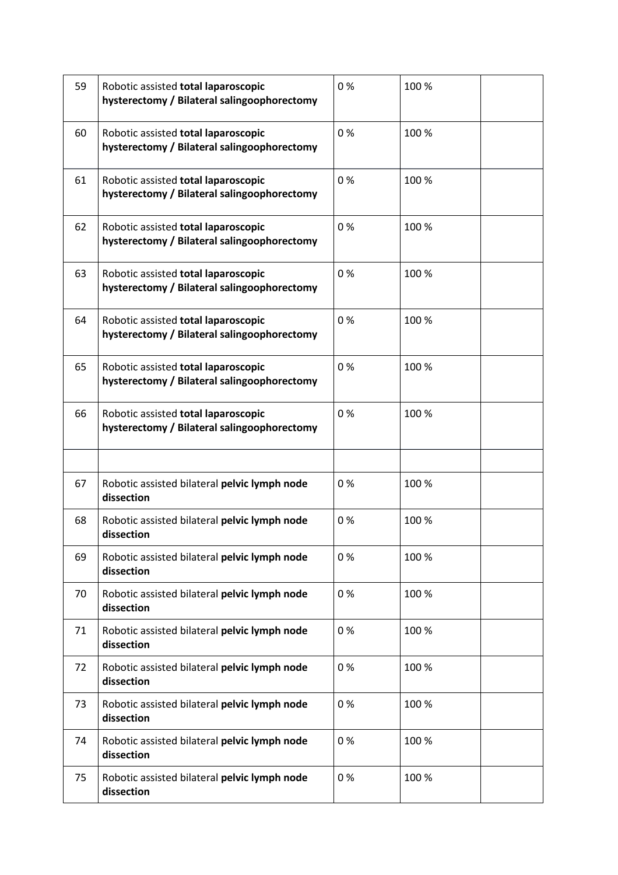| 59 | Robotic assisted total laparoscopic<br>hysterectomy / Bilateral salingoophorectomy | 0% | 100 % |  |
|----|------------------------------------------------------------------------------------|----|-------|--|
| 60 | Robotic assisted total laparoscopic<br>hysterectomy / Bilateral salingoophorectomy | 0% | 100 % |  |
| 61 | Robotic assisted total laparoscopic<br>hysterectomy / Bilateral salingoophorectomy | 0% | 100 % |  |
| 62 | Robotic assisted total laparoscopic<br>hysterectomy / Bilateral salingoophorectomy | 0% | 100 % |  |
| 63 | Robotic assisted total laparoscopic<br>hysterectomy / Bilateral salingoophorectomy | 0% | 100 % |  |
| 64 | Robotic assisted total laparoscopic<br>hysterectomy / Bilateral salingoophorectomy | 0% | 100 % |  |
| 65 | Robotic assisted total laparoscopic<br>hysterectomy / Bilateral salingoophorectomy | 0% | 100 % |  |
| 66 | Robotic assisted total laparoscopic<br>hysterectomy / Bilateral salingoophorectomy | 0% | 100 % |  |
|    |                                                                                    |    |       |  |
| 67 | Robotic assisted bilateral pelvic lymph node<br>dissection                         | 0% | 100 % |  |
| 68 | Robotic assisted bilateral pelvic lymph node<br>dissection                         | 0% | 100 % |  |
| 69 | Robotic assisted bilateral pelvic lymph node<br>dissection                         | 0% | 100 % |  |
| 70 | Robotic assisted bilateral pelvic lymph node<br>dissection                         | 0% | 100 % |  |
| 71 | Robotic assisted bilateral pelvic lymph node<br>dissection                         | 0% | 100 % |  |
| 72 | Robotic assisted bilateral pelvic lymph node<br>dissection                         | 0% | 100 % |  |
| 73 | Robotic assisted bilateral pelvic lymph node<br>dissection                         | 0% | 100 % |  |
| 74 | Robotic assisted bilateral pelvic lymph node<br>dissection                         | 0% | 100 % |  |
| 75 | Robotic assisted bilateral pelvic lymph node<br>dissection                         | 0% | 100 % |  |